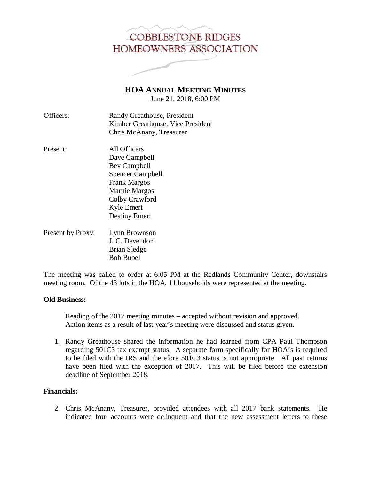# **COBBLESTONE RIDGES** HOMEOWNERS ASSOCIATION

**HOA ANNUAL MEETING MINUTES**

June 21, 2018, 6:00 PM

| Officers: | Randy Greathouse, President       |
|-----------|-----------------------------------|
|           | Kimber Greathouse, Vice President |
|           | Chris McAnany, Treasurer          |

- Present: All Officers Dave Campbell Bev Campbell Spencer Campbell Frank Margos Marnie Margos Colby Crawford Kyle Emert Destiny Emert Present by Proxy: Lynn Brownson
- J. C. Devendorf Brian Sledge Bob Bubel

The meeting was called to order at 6:05 PM at the Redlands Community Center, downstairs meeting room. Of the 43 lots in the HOA, 11 households were represented at the meeting.

# **Old Business:**

 Reading of the 2017 meeting minutes – accepted without revision and approved. Action items as a result of last year's meeting were discussed and status given.

1. Randy Greathouse shared the information he had learned from CPA Paul Thompson regarding 501C3 tax exempt status. A separate form specifically for HOA's is required to be filed with the IRS and therefore 501C3 status is not appropriate. All past returns have been filed with the exception of 2017. This will be filed before the extension deadline of September 2018.

# **Financials:**

2. Chris McAnany, Treasurer, provided attendees with all 2017 bank statements. He indicated four accounts were delinquent and that the new assessment letters to these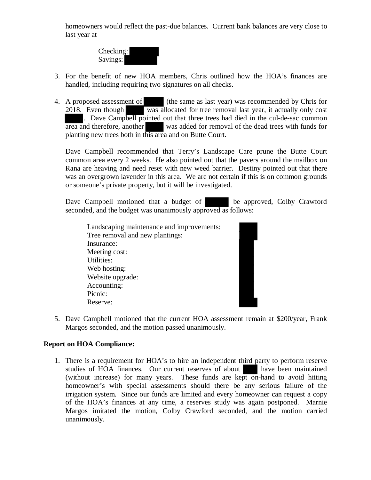homeowners would reflect the past-due balances. Current bank balances are very close to last year at



- 3. For the benefit of new HOA members, Chris outlined how the HOA's finances are handled, including requiring two signatures on all checks.
- 4. A proposed assessment of (the same as last year) was recommended by Chris for 2018. Even though was allocated for tree removal last year, it actually only cost . Dave Campbell pointed out that three trees had died in the cul-de-sac common area and therefore, another was added for removal of the dead trees with funds for planting new trees both in this area and on Butte Court.

Dave Campbell recommended that Terry's Landscape Care prune the Butte Court common area every 2 weeks. He also pointed out that the pavers around the mailbox on Rana are heaving and need reset with new weed barrier. Destiny pointed out that there was an overgrown lavender in this area. We are not certain if this is on common grounds or someone's private property, but it will be investigated.

Dave Campbell motioned that a budget of be approved, Colby Crawford seconded, and the budget was unanimously approved as follows:

| Landscaping maintenance and improvements: |
|-------------------------------------------|
| Tree removal and new plantings:           |
| Insurance:                                |
| Meeting cost:                             |
| Utilities:                                |
| Web hosting:                              |
| Website upgrade:                          |
| Accounting:                               |
| Picnic:                                   |
| Reserve:                                  |
|                                           |

5. Dave Campbell motioned that the current HOA assessment remain at \$200/year, Frank Margos seconded, and the motion passed unanimously.

## **Report on HOA Compliance:**

1. There is a requirement for HOA's to hire an independent third party to perform reserve studies of HOA finances. Our current reserves of about have been maintained (without increase) for many years. These funds are kept on-hand to avoid hitting homeowner's with special assessments should there be any serious failure of the irrigation system. Since our funds are limited and every homeowner can request a copy of the HOA's finances at any time, a reserves study was again postponed. Marnie Margos imitated the motion, Colby Crawford seconded, and the motion carried unanimously.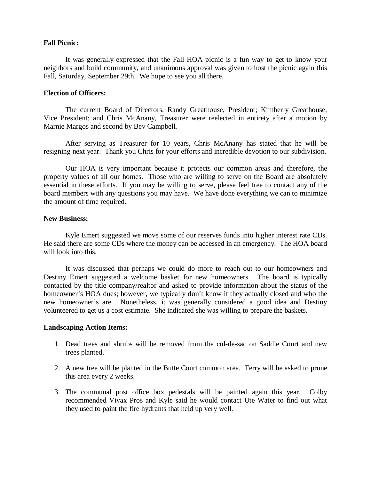### **Fall Picnic:**

It was generally expressed that the Fall HOA picnic is a fun way to get to know your neighbors and build community, and unanimous approval was given to host the picnic again this Fall, Saturday, September 29th. We hope to see you all there.

#### **Election of Officers:**

The current Board of Directors, Randy Greathouse, President; Kimberly Greathouse, Vice President; and Chris McAnany, Treasurer were reelected in entirety after a motion by Marnie Margos and second by Bev Campbell.

After serving as Treasurer for 10 years, Chris McAnany has stated that he will be resigning next year. Thank you Chris for your efforts and incredible devotion to our subdivision.

Our HOA is very important because it protects our common areas and therefore, the property values of all our homes. Those who are willing to serve on the Board are absolutely essential in these efforts. If you may be willing to serve, please feel free to contact any of the board members with any questions you may have. We have done everything we can to minimize the amount of time required.

### **New Business:**

 Kyle Emert suggested we move some of our reserves funds into higher interest rate CDs. He said there are some CDs where the money can be accessed in an emergency. The HOA board will look into this.

 It was discussed that perhaps we could do more to reach out to our homeowners and Destiny Emert suggested a welcome basket for new homeowners. The board is typically contacted by the title company/realtor and asked to provide information about the status of the homeowner's HOA dues; however, we typically don't know if they actually closed and who the new homeowner's are. Nonetheless, it was generally considered a good idea and Destiny volunteered to get us a cost estimate. She indicated she was willing to prepare the baskets.

#### **Landscaping Action Items:**

- 1. Dead trees and shrubs will be removed from the cul-de-sac on Saddle Court and new trees planted.
- 2. A new tree will be planted in the Butte Court common area. Terry will be asked to prune this area every 2 weeks.
- 3. The communal post office box pedestals will be painted again this year. Colby recommended Vivax Pros and Kyle said he would contact Ute Water to find out what they used to paint the fire hydrants that held up very well.